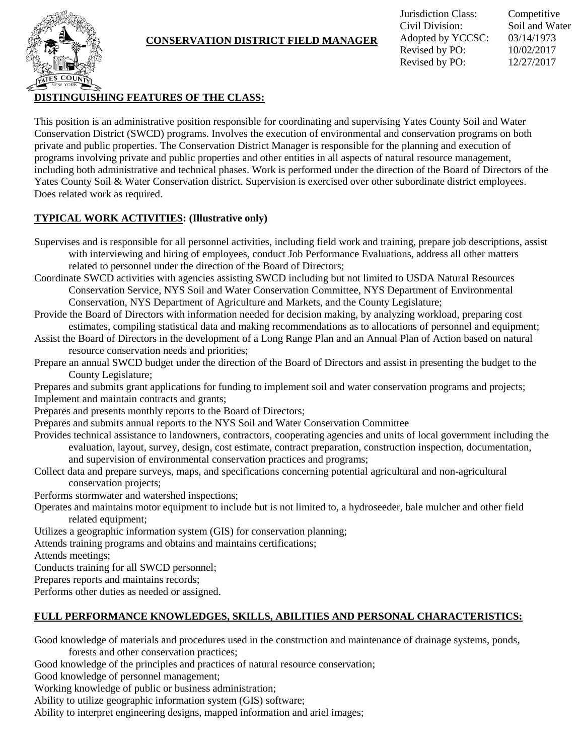

### **CONSERVATION DISTRICT FIELD MANAGER**

Jurisdiction Class: Competitive Civil Division: Soil and Water Adopted by YCCSC: 03/14/1973 Revised by PO: 10/02/2017 Revised by PO: 12/27/2017

# **DISTINGUISHING FEATURES OF THE CLASS:**

This position is an administrative position responsible for coordinating and supervising Yates County Soil and Water Conservation District (SWCD) programs. Involves the execution of environmental and conservation programs on both private and public properties. The Conservation District Manager is responsible for the planning and execution of programs involving private and public properties and other entities in all aspects of natural resource management, including both administrative and technical phases. Work is performed under the direction of the Board of Directors of the Yates County Soil & Water Conservation district. Supervision is exercised over other subordinate district employees. Does related work as required.

#### **TYPICAL WORK ACTIVITIES: (Illustrative only)**

- Supervises and is responsible for all personnel activities, including field work and training, prepare job descriptions, assist with interviewing and hiring of employees, conduct Job Performance Evaluations, address all other matters related to personnel under the direction of the Board of Directors;
- Coordinate SWCD activities with agencies assisting SWCD including but not limited to USDA Natural Resources Conservation Service, NYS Soil and Water Conservation Committee, NYS Department of Environmental Conservation, NYS Department of Agriculture and Markets, and the County Legislature;
- Provide the Board of Directors with information needed for decision making, by analyzing workload, preparing cost estimates, compiling statistical data and making recommendations as to allocations of personnel and equipment;
- Assist the Board of Directors in the development of a Long Range Plan and an Annual Plan of Action based on natural resource conservation needs and priorities;
- Prepare an annual SWCD budget under the direction of the Board of Directors and assist in presenting the budget to the County Legislature;
- Prepares and submits grant applications for funding to implement soil and water conservation programs and projects; Implement and maintain contracts and grants;
- Prepares and presents monthly reports to the Board of Directors;
- Prepares and submits annual reports to the NYS Soil and Water Conservation Committee
- Provides technical assistance to landowners, contractors, cooperating agencies and units of local government including the evaluation, layout, survey, design, cost estimate, contract preparation, construction inspection, documentation, and supervision of environmental conservation practices and programs;
- Collect data and prepare surveys, maps, and specifications concerning potential agricultural and non-agricultural conservation projects;
- Performs stormwater and watershed inspections;
- Operates and maintains motor equipment to include but is not limited to, a hydroseeder, bale mulcher and other field related equipment;
- Utilizes a geographic information system (GIS) for conservation planning;
- Attends training programs and obtains and maintains certifications;

Attends meetings;

Conducts training for all SWCD personnel;

- Prepares reports and maintains records;
- Performs other duties as needed or assigned.

# **FULL PERFORMANCE KNOWLEDGES, SKILLS, ABILITIES AND PERSONAL CHARACTERISTICS:**

Good knowledge of materials and procedures used in the construction and maintenance of drainage systems, ponds,

forests and other conservation practices;

Good knowledge of the principles and practices of natural resource conservation;

Good knowledge of personnel management;

Working knowledge of public or business administration;

Ability to utilize geographic information system (GIS) software;

Ability to interpret engineering designs, mapped information and ariel images;